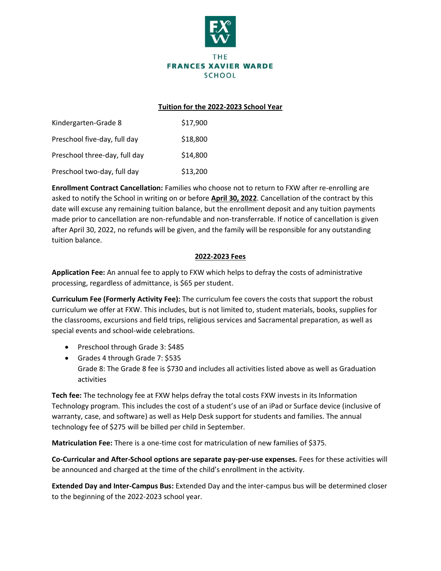

## **Tuition for the 2022-2023 School Year**

| Kindergarten-Grade 8          | \$17,900 |
|-------------------------------|----------|
| Preschool five-day, full day  | \$18,800 |
| Preschool three-day, full day | \$14,800 |
| Preschool two-day, full day   | \$13,200 |

**Enrollment Contract Cancellation:** Families who choose not to return to FXW after re-enrolling are asked to notify the School in writing on or before **April 30, 2022**. Cancellation of the contract by this date will excuse any remaining tuition balance, but the enrollment deposit and any tuition payments made prior to cancellation are non-refundable and non-transferrable. If notice of cancellation is given after April 30, 2022, no refunds will be given, and the family will be responsible for any outstanding tuition balance.

# **2022-2023 Fees**

**Application Fee:** An annual fee to apply to FXW which helps to defray the costs of administrative processing, regardless of admittance, is \$65 per student.

**Curriculum Fee (Formerly Activity Fee):** The curriculum fee covers the costs that support the robust curriculum we offer at FXW. This includes, but is not limited to, student materials, books, supplies for the classrooms, excursions and field trips, religious services and Sacramental preparation, as well as special events and school-wide celebrations.

- Preschool through Grade 3: \$485
- Grades 4 through Grade 7: \$535 • Grade 8: The Grade 8 fee is \$730 and includes all activities listed above as well as Graduation activities.

**Tech fee:** The technology fee at FXW helps defray the total costs FXW invests in its Information Technology program. This includes the cost of a student's use of an iPad or Surface device (inclusive of warranty, case, and software) as well as Help Desk support for students and families. The annual technology fee of \$275 will be billed per child in September.

**Matriculation Fee:** There is a one-time cost for matriculation of new families of \$375.

**Co-Curricular and After-School options are separate pay-per-use expenses.** Fees for these activities will be announced and charged at the time of the child's enrollment in the activity.

**Extended Day and Inter-Campus Bus:** Extended Day and the inter-campus bus will be determined closer to the beginning of the 2022-2023 school year.